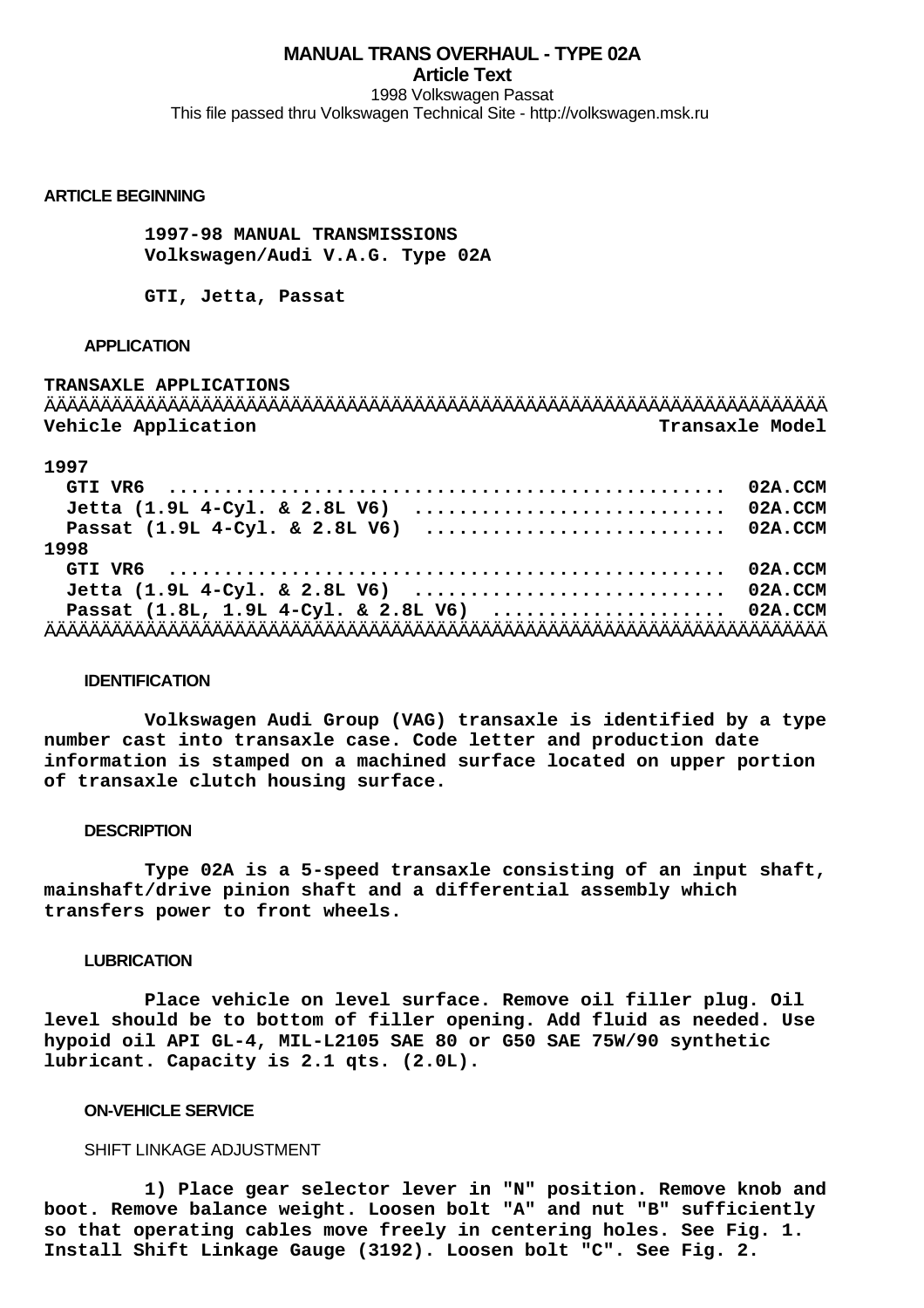# **MANUAL TRANS OVERHAUL - TYPE 02A Article Text**

1998 Volkswagen Passat This file passed thru Volkswagen Technical Site - http://volkswagen.msk.ru

# **ARTICLE BEGINNING**

 **1997-98 MANUAL TRANSMISSIONS Volkswagen/Audi V.A.G. Type 02A**

 **GTI, Jetta, Passat**

#### **APPLICATION**

**TRANSAXLE APPLICATIONS** ÄÄÄÄÄÄÄÄÄÄÄÄÄÄÄÄÄÄÄÄÄÄÄÄÄÄÄÄÄÄÄÄÄÄÄÄÄÄÄÄÄÄÄÄÄÄÄÄÄÄÄÄÄÄÄÄÄÄÄÄÄÄÄÄÄÄÄÄÄÄ **Vehicle Application Transaxle Model**

# **1997**

| GTI VR6 $\dots\dots\dots\dots\dots\dots\dots\dots\dots\dots\dots\dots\dots\dots\dots\dots\dots$ 02A.CCM |  |
|---------------------------------------------------------------------------------------------------------|--|
|                                                                                                         |  |
|                                                                                                         |  |
| 1998                                                                                                    |  |
|                                                                                                         |  |
| Jetta (1.9L 4-Cyl. & 2.8L V6)  02A.CCM                                                                  |  |
| Passat $(1.8L, 1.9L 4-Cy1. \& 2.8L V6)$ 02A.CCM                                                         |  |
|                                                                                                         |  |

#### **IDENTIFICATION**

 **Volkswagen Audi Group (VAG) transaxle is identified by a type number cast into transaxle case. Code letter and production date information is stamped on a machined surface located on upper portion of transaxle clutch housing surface.**

#### **DESCRIPTION**

 **Type 02A is a 5-speed transaxle consisting of an input shaft, mainshaft/drive pinion shaft and a differential assembly which transfers power to front wheels.**

# **LUBRICATION**

 **Place vehicle on level surface. Remove oil filler plug. Oil level should be to bottom of filler opening. Add fluid as needed. Use hypoid oil API GL-4, MIL-L2105 SAE 80 or G50 SAE 75W/90 synthetic lubricant. Capacity is 2.1 qts. (2.0L).**

# **ON-VEHICLE SERVICE**

# SHIFT LINKAGE ADJUSTMENT

 **1) Place gear selector lever in "N" position. Remove knob and boot. Remove balance weight. Loosen bolt "A" and nut "B" sufficiently so that operating cables move freely in centering holes. See Fig. 1. Install Shift Linkage Gauge (3192). Loosen bolt "C". See Fig. 2.**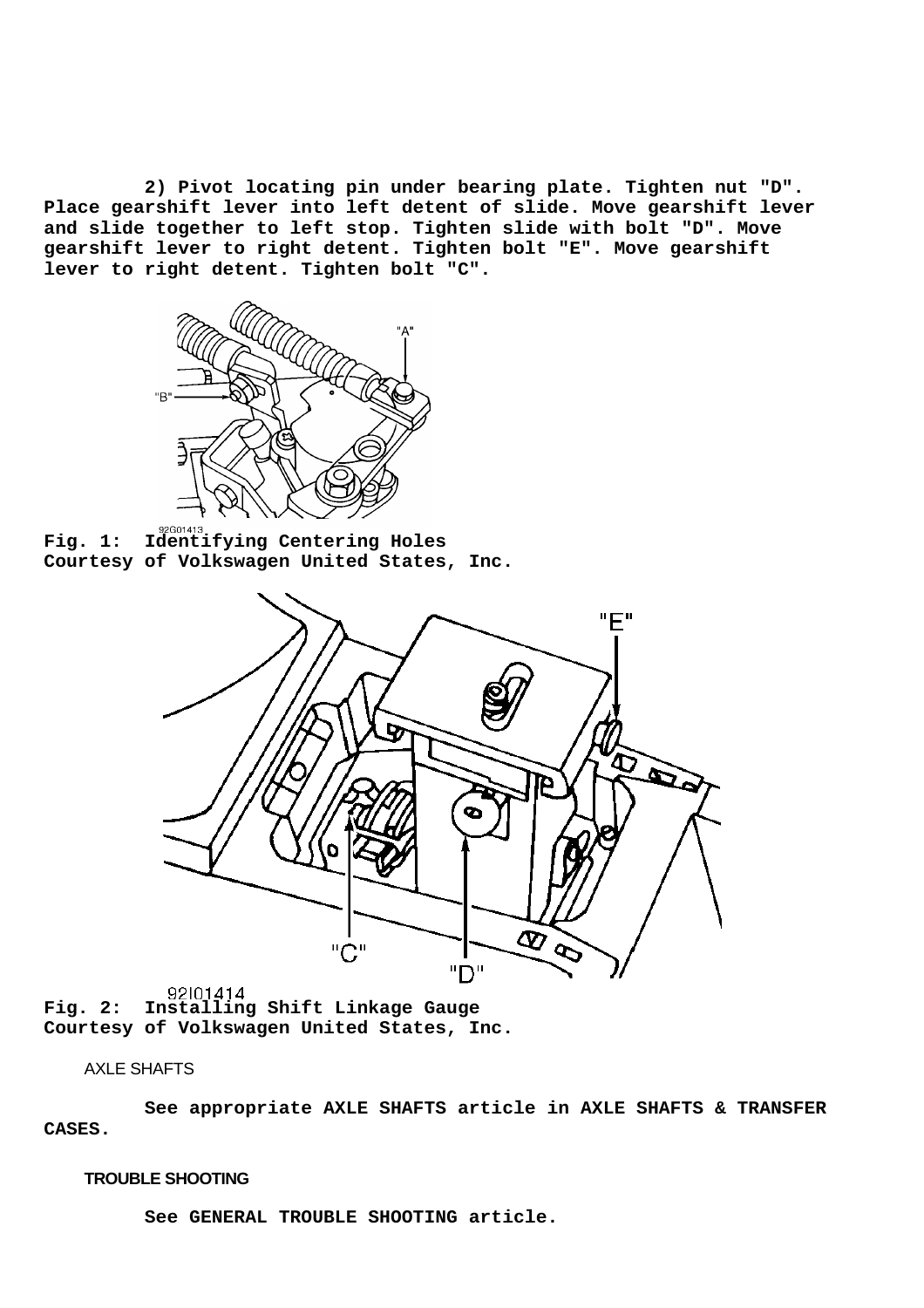**2) Pivot locating pin under bearing plate. Tighten nut "D". Place gearshift lever into left detent of slide. Move gearshift lever and slide together to left stop. Tighten slide with bolt "D". Move gearshift lever to right detent. Tighten bolt "E". Move gearshift lever to right detent. Tighten bolt "C".**



**Fig. 1: Identifying Centering Holes Courtesy of Volkswagen United States, Inc.**



**Fig. 2: Installing Shift Linkage Gauge Courtesy of Volkswagen United States, Inc.**

# AXLE SHAFTS

 **See appropriate AXLE SHAFTS article in AXLE SHAFTS & TRANSFER CASES.**

# **TROUBLE SHOOTING**

 **See GENERAL TROUBLE SHOOTING article.**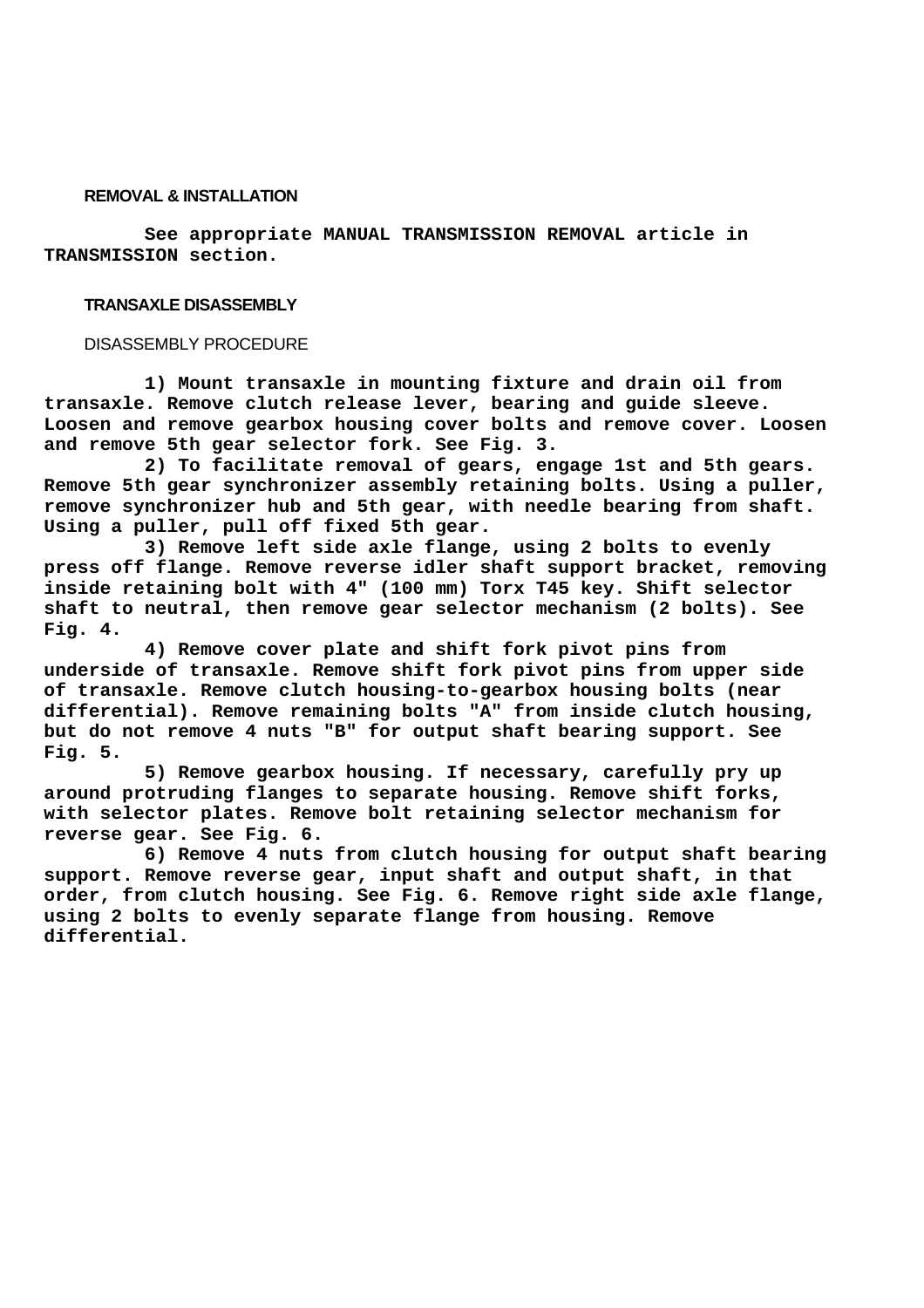#### **REMOVAL & INSTALLATION**

 **See appropriate MANUAL TRANSMISSION REMOVAL article in TRANSMISSION section.**

#### **TRANSAXLE DISASSEMBLY**

#### DISASSEMBLY PROCEDURE

 **1) Mount transaxle in mounting fixture and drain oil from transaxle. Remove clutch release lever, bearing and guide sleeve. Loosen and remove gearbox housing cover bolts and remove cover. Loosen and remove 5th gear selector fork. See Fig. 3.**

 **2) To facilitate removal of gears, engage 1st and 5th gears. Remove 5th gear synchronizer assembly retaining bolts. Using a puller, remove synchronizer hub and 5th gear, with needle bearing from shaft. Using a puller, pull off fixed 5th gear.**

 **3) Remove left side axle flange, using 2 bolts to evenly press off flange. Remove reverse idler shaft support bracket, removing inside retaining bolt with 4" (100 mm) Torx T45 key. Shift selector shaft to neutral, then remove gear selector mechanism (2 bolts). See Fig. 4.**

 **4) Remove cover plate and shift fork pivot pins from underside of transaxle. Remove shift fork pivot pins from upper side of transaxle. Remove clutch housing-to-gearbox housing bolts (near differential). Remove remaining bolts "A" from inside clutch housing, but do not remove 4 nuts "B" for output shaft bearing support. See Fig. 5.**

 **5) Remove gearbox housing. If necessary, carefully pry up around protruding flanges to separate housing. Remove shift forks, with selector plates. Remove bolt retaining selector mechanism for reverse gear. See Fig. 6.**

 **6) Remove 4 nuts from clutch housing for output shaft bearing support. Remove reverse gear, input shaft and output shaft, in that order, from clutch housing. See Fig. 6. Remove right side axle flange, using 2 bolts to evenly separate flange from housing. Remove differential.**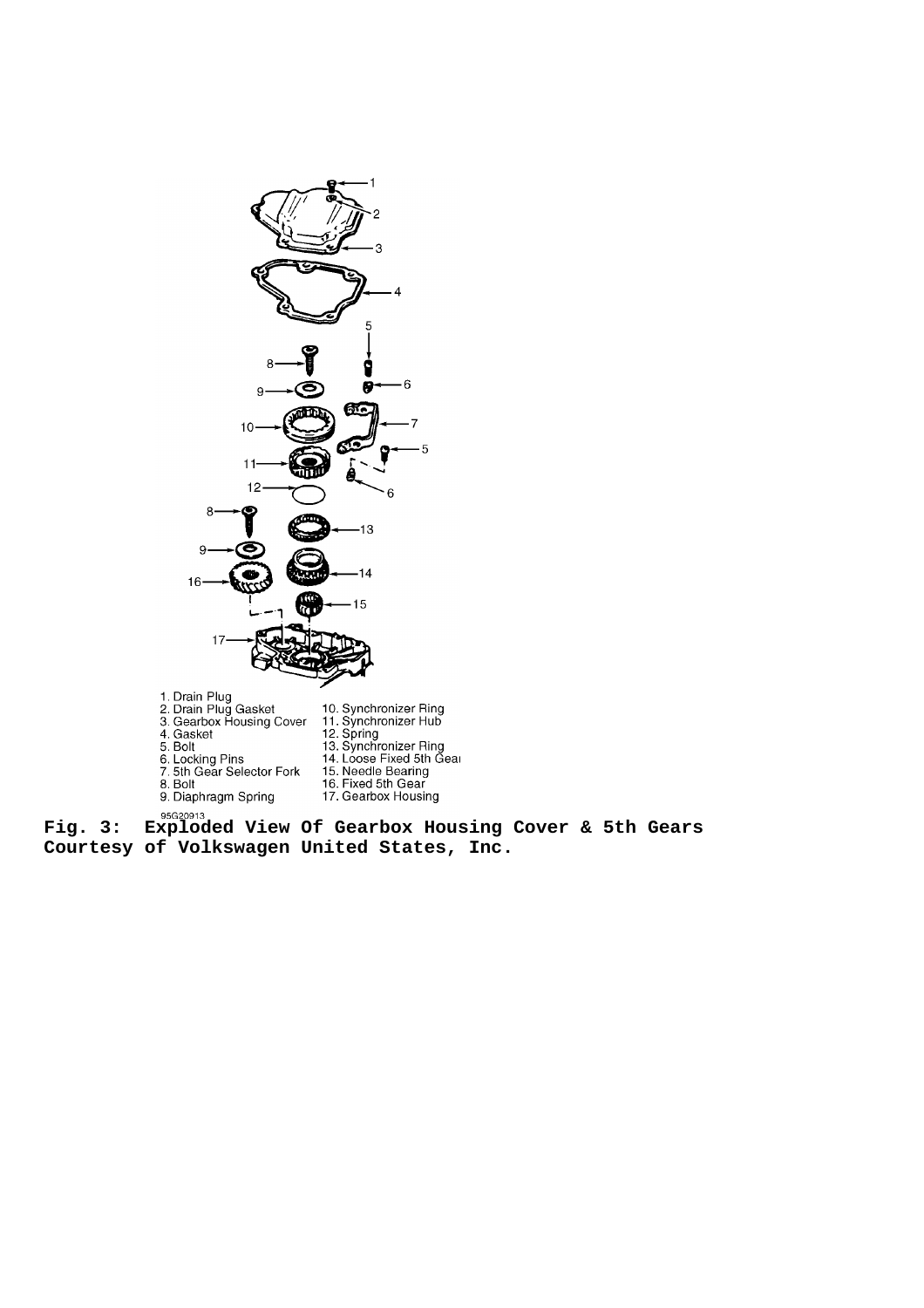

**Fig. 3: Exploded View Of Gearbox Housing Cover & 5th Gears Courtesy of Volkswagen United States, Inc.**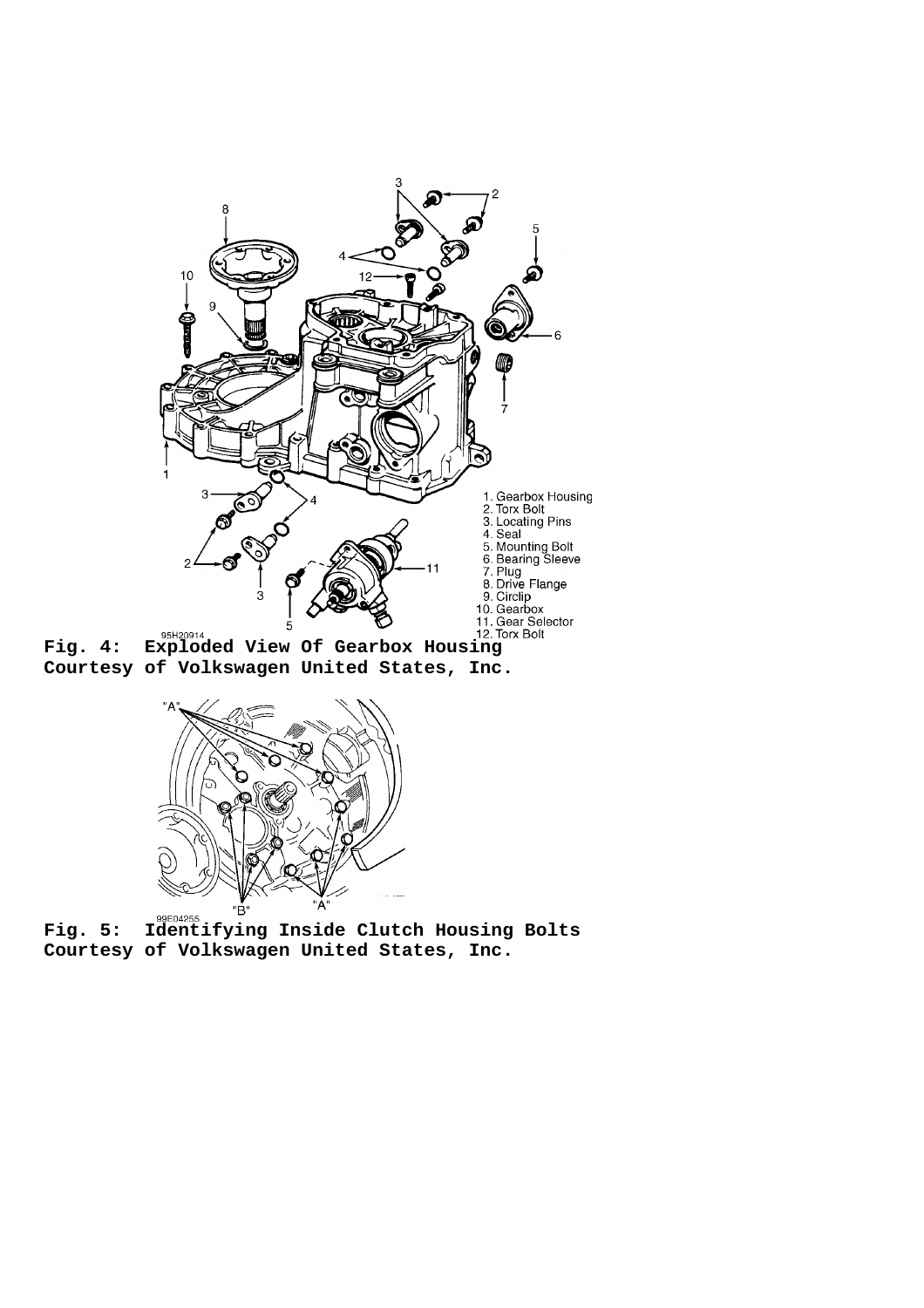

**Fig. 4: Exploded View Of Gearbox Housing Courtesy of Volkswagen United States, Inc.**



**Fig. 5: Identifying Inside Clutch Housing Bolts Courtesy of Volkswagen United States, Inc.**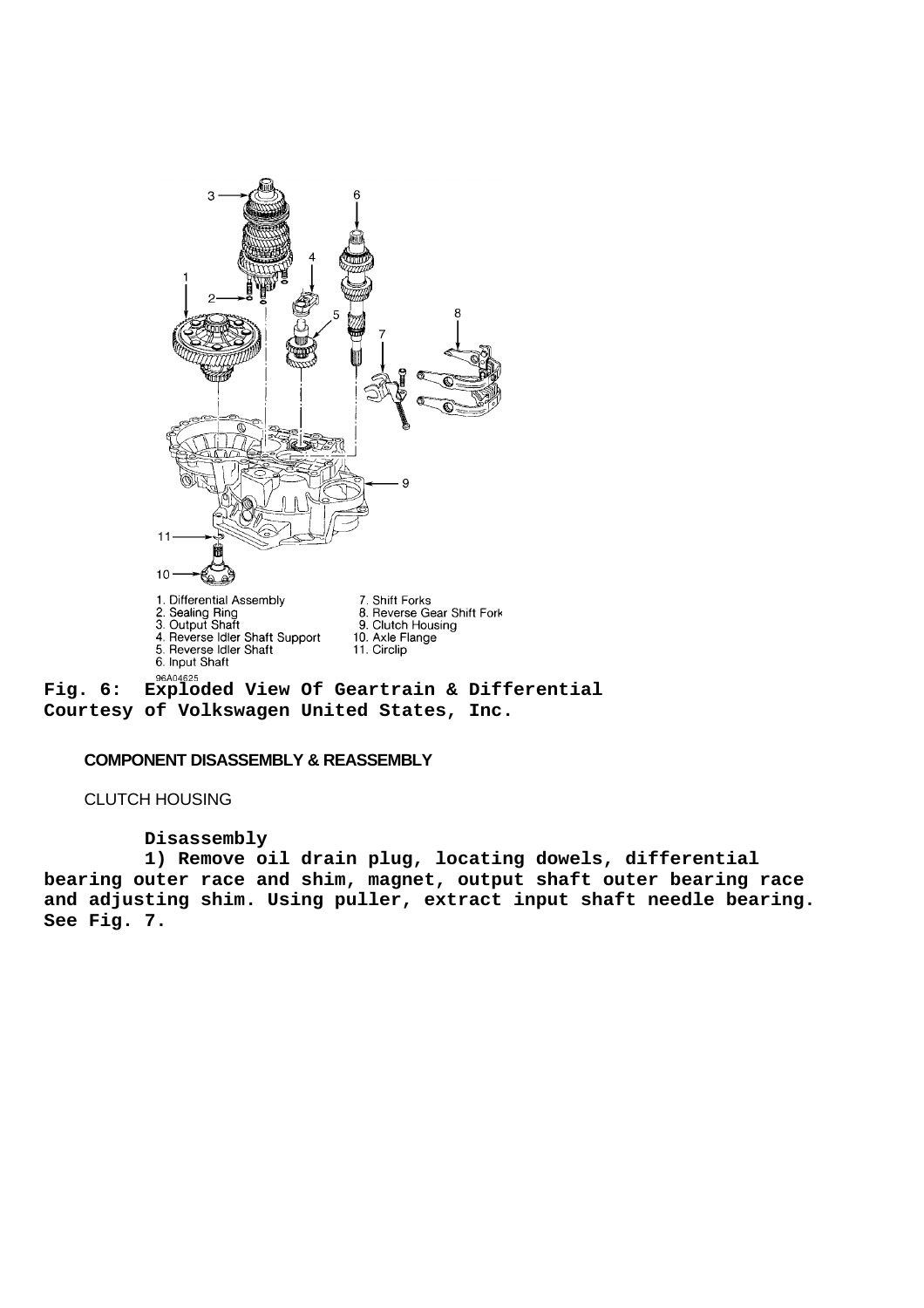

**Courtesy of Volkswagen United States, Inc.**

# **COMPONENT DISASSEMBLY & REASSEMBLY**

CLUTCH HOUSING

### **Disassembly**

 **1) Remove oil drain plug, locating dowels, differential bearing outer race and shim, magnet, output shaft outer bearing race and adjusting shim. Using puller, extract input shaft needle bearing. See Fig. 7.**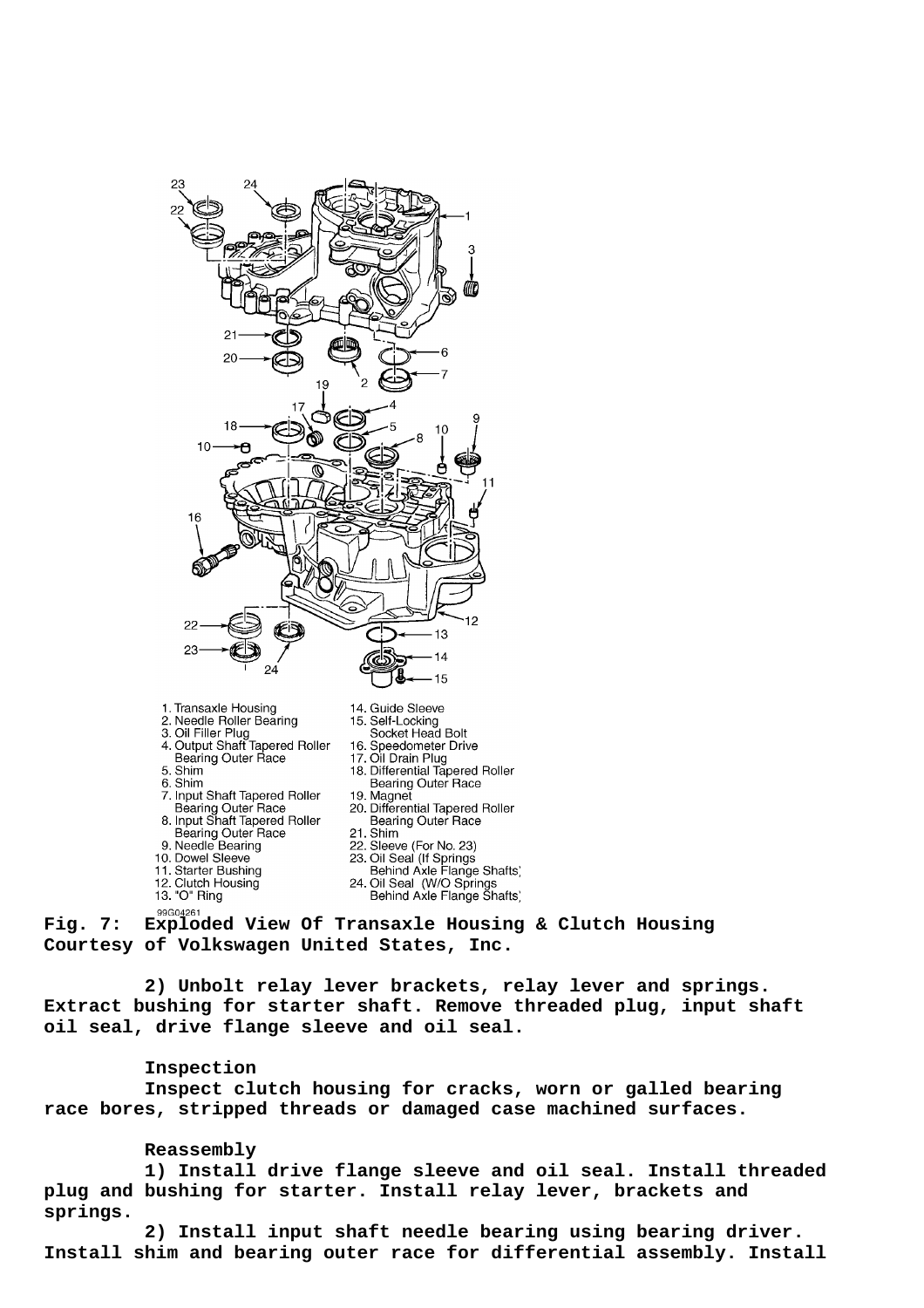

- 
- Bearing Outer Race 9. Needle Bearing
- 10. Dowel Sleeve
- 11. Starter Bushing
- 12. Clutch Housing<br>13. "O" Ring
- 
- 
- 
- **Bearing Outer Race**
- 21. Shim
- Sleeve (For No. 23)
- 23. Oil Seal (If Springs
	-
- Behind Axle Flange Shafts,<br>24. Oil Seal (W/O Springs<br>Behind Axle Flange Shafts)

**Fig. 7: Exploded View Of Transaxle Housing & Clutch Housing Courtesy of Volkswagen United States, Inc.**

 **2) Unbolt relay lever brackets, relay lever and springs. Extract bushing for starter shaft. Remove threaded plug, input shaft oil seal, drive flange sleeve and oil seal.**

# **Inspection**

 **Inspect clutch housing for cracks, worn or galled bearing race bores, stripped threads or damaged case machined surfaces.**

# **Reassembly**

 **1) Install drive flange sleeve and oil seal. Install threaded plug and bushing for starter. Install relay lever, brackets and springs.**

 **2) Install input shaft needle bearing using bearing driver. Install shim and bearing outer race for differential assembly. Install**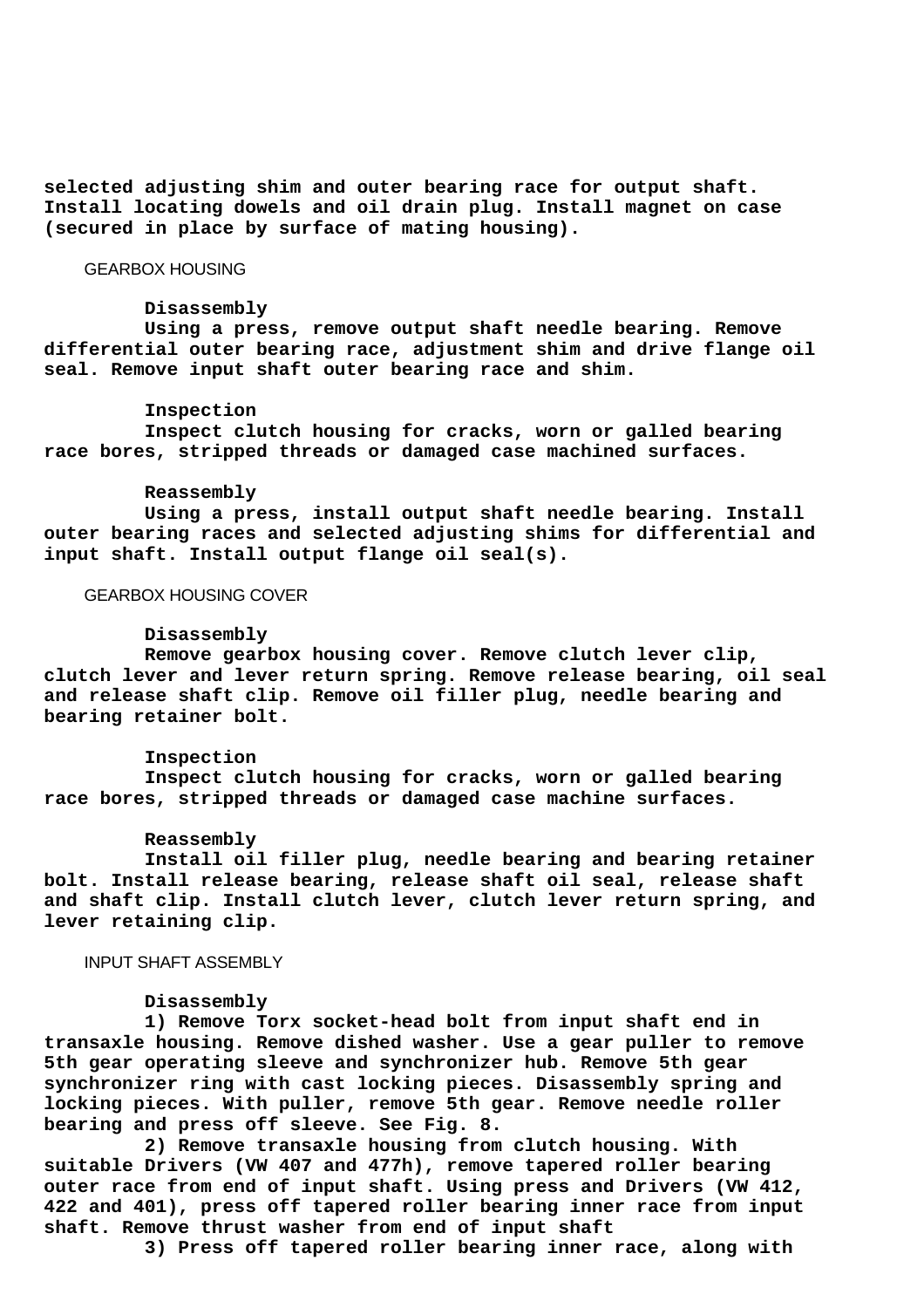**selected adjusting shim and outer bearing race for output shaft. Install locating dowels and oil drain plug. Install magnet on case (secured in place by surface of mating housing).**

GEARBOX HOUSING

#### **Disassembly**

 **Using a press, remove output shaft needle bearing. Remove differential outer bearing race, adjustment shim and drive flange oil seal. Remove input shaft outer bearing race and shim.**

#### **Inspection**

 **Inspect clutch housing for cracks, worn or galled bearing race bores, stripped threads or damaged case machined surfaces.**

## **Reassembly**

 **Using a press, install output shaft needle bearing. Install outer bearing races and selected adjusting shims for differential and input shaft. Install output flange oil seal(s).**

# GEARBOX HOUSING COVER

#### **Disassembly**

 **Remove gearbox housing cover. Remove clutch lever clip, clutch lever and lever return spring. Remove release bearing, oil seal and release shaft clip. Remove oil filler plug, needle bearing and bearing retainer bolt.**

#### **Inspection**

 **Inspect clutch housing for cracks, worn or galled bearing race bores, stripped threads or damaged case machine surfaces.**

### **Reassembly**

 **Install oil filler plug, needle bearing and bearing retainer bolt. Install release bearing, release shaft oil seal, release shaft and shaft clip. Install clutch lever, clutch lever return spring, and lever retaining clip.**

## INPUT SHAFT ASSEMBLY

#### **Disassembly**

 **1) Remove Torx socket-head bolt from input shaft end in transaxle housing. Remove dished washer. Use a gear puller to remove 5th gear operating sleeve and synchronizer hub. Remove 5th gear synchronizer ring with cast locking pieces. Disassembly spring and locking pieces. With puller, remove 5th gear. Remove needle roller bearing and press off sleeve. See Fig. 8.**

 **2) Remove transaxle housing from clutch housing. With suitable Drivers (VW 407 and 477h), remove tapered roller bearing outer race from end of input shaft. Using press and Drivers (VW 412, 422 and 401), press off tapered roller bearing inner race from input shaft. Remove thrust washer from end of input shaft**

 **3) Press off tapered roller bearing inner race, along with**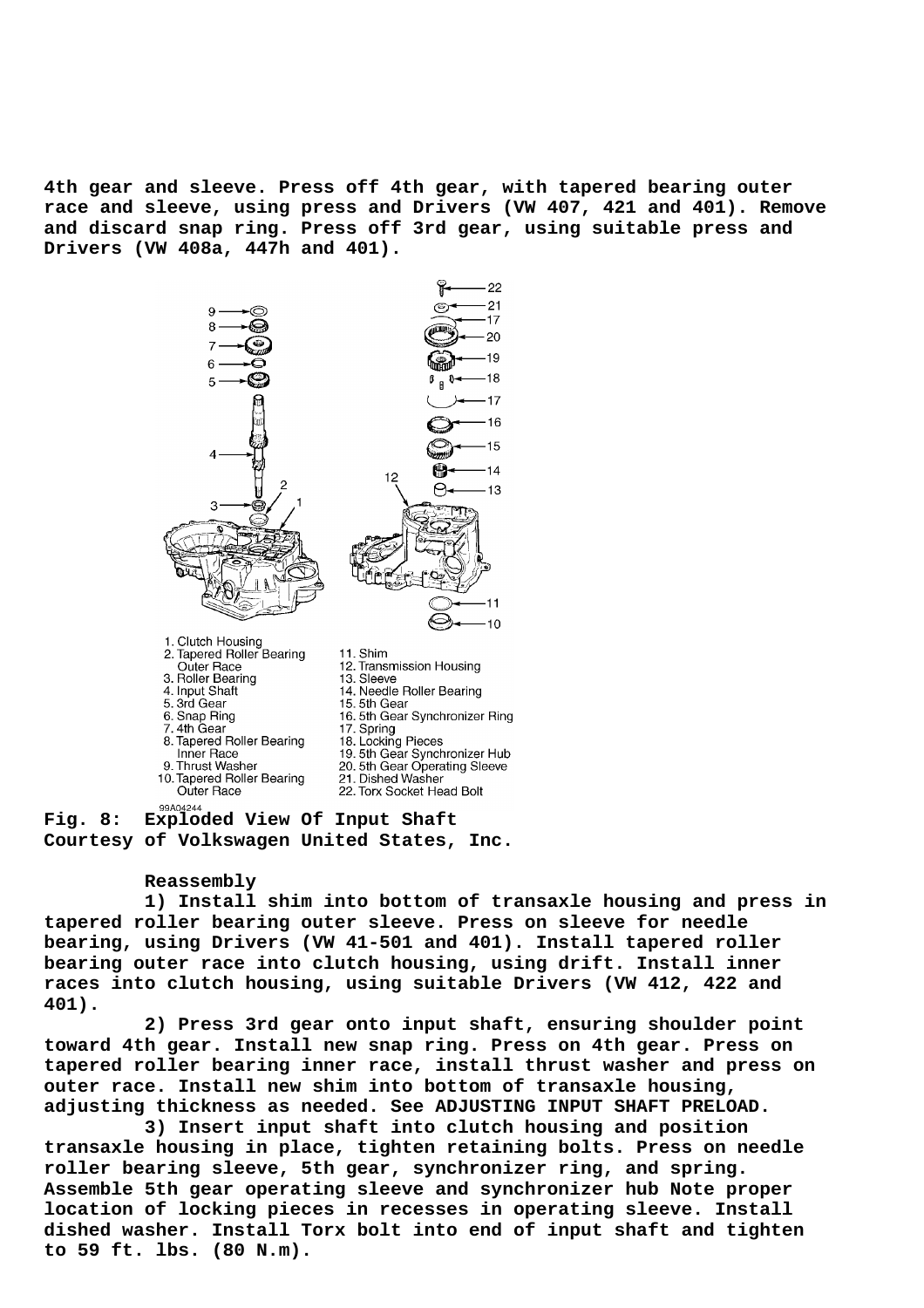**4th gear and sleeve. Press off 4th gear, with tapered bearing outer race and sleeve, using press and Drivers (VW 407, 421 and 401). Remove and discard snap ring. Press off 3rd gear, using suitable press and Drivers (VW 408a, 447h and 401).**



**Courtesy of Volkswagen United States, Inc.**

#### **Reassembly**

 **1) Install shim into bottom of transaxle housing and press in tapered roller bearing outer sleeve. Press on sleeve for needle bearing, using Drivers (VW 41-501 and 401). Install tapered roller bearing outer race into clutch housing, using drift. Install inner races into clutch housing, using suitable Drivers (VW 412, 422 and 401).**

 **2) Press 3rd gear onto input shaft, ensuring shoulder point toward 4th gear. Install new snap ring. Press on 4th gear. Press on tapered roller bearing inner race, install thrust washer and press on outer race. Install new shim into bottom of transaxle housing, adjusting thickness as needed. See ADJUSTING INPUT SHAFT PRELOAD.**

 **3) Insert input shaft into clutch housing and position transaxle housing in place, tighten retaining bolts. Press on needle roller bearing sleeve, 5th gear, synchronizer ring, and spring. Assemble 5th gear operating sleeve and synchronizer hub Note proper location of locking pieces in recesses in operating sleeve. Install dished washer. Install Torx bolt into end of input shaft and tighten to 59 ft. lbs. (80 N.m).**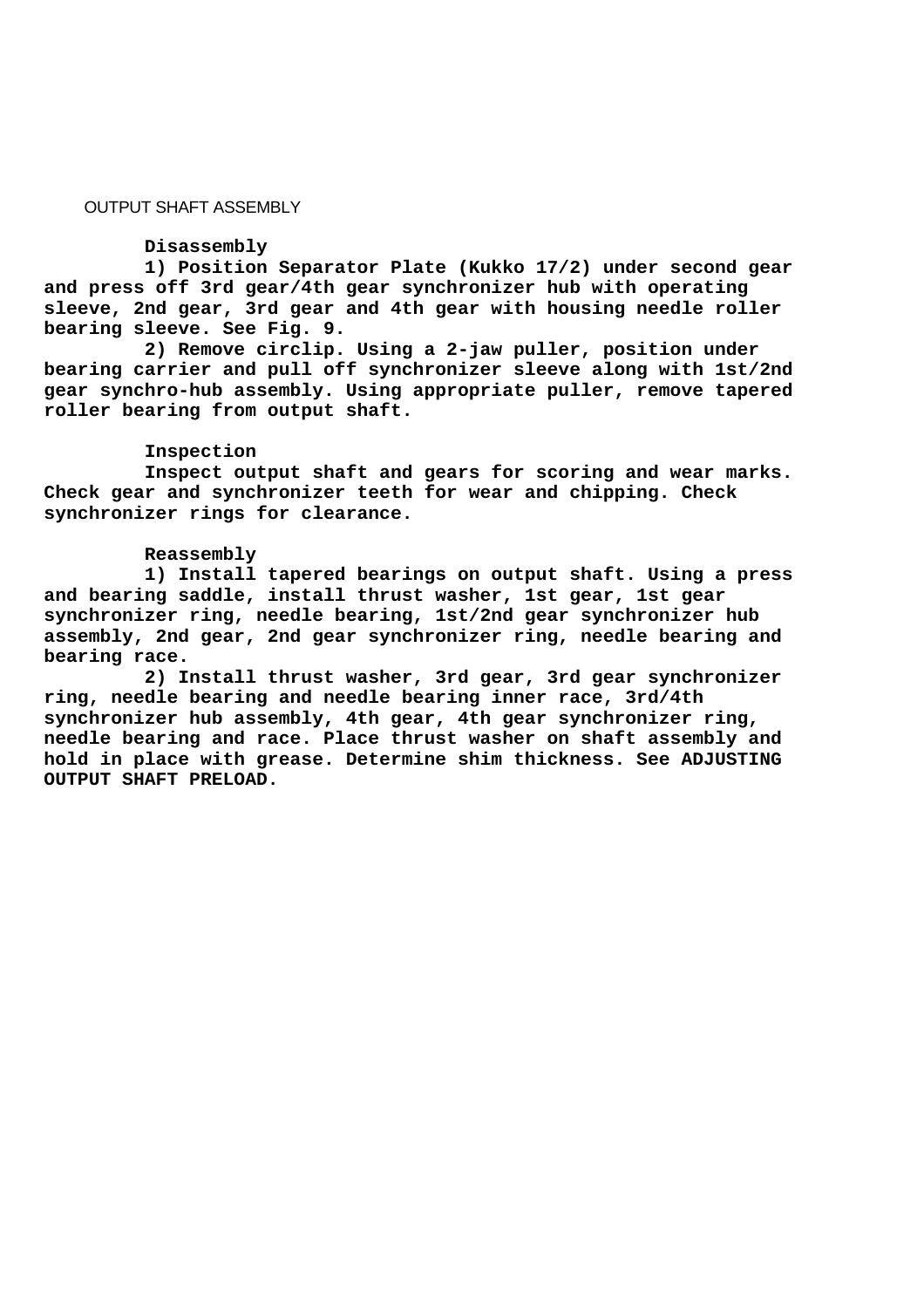# OUTPUT SHAFT ASSEMBLY

#### **Disassembly**

 **1) Position Separator Plate (Kukko 17/2) under second gear and press off 3rd gear/4th gear synchronizer hub with operating sleeve, 2nd gear, 3rd gear and 4th gear with housing needle roller bearing sleeve. See Fig. 9.**

 **2) Remove circlip. Using a 2-jaw puller, position under bearing carrier and pull off synchronizer sleeve along with 1st/2nd gear synchro-hub assembly. Using appropriate puller, remove tapered roller bearing from output shaft.**

## **Inspection**

 **Inspect output shaft and gears for scoring and wear marks. Check gear and synchronizer teeth for wear and chipping. Check synchronizer rings for clearance.**

# **Reassembly**

 **1) Install tapered bearings on output shaft. Using a press and bearing saddle, install thrust washer, 1st gear, 1st gear synchronizer ring, needle bearing, 1st/2nd gear synchronizer hub assembly, 2nd gear, 2nd gear synchronizer ring, needle bearing and bearing race.**

 **2) Install thrust washer, 3rd gear, 3rd gear synchronizer ring, needle bearing and needle bearing inner race, 3rd/4th synchronizer hub assembly, 4th gear, 4th gear synchronizer ring, needle bearing and race. Place thrust washer on shaft assembly and hold in place with grease. Determine shim thickness. See ADJUSTING OUTPUT SHAFT PRELOAD.**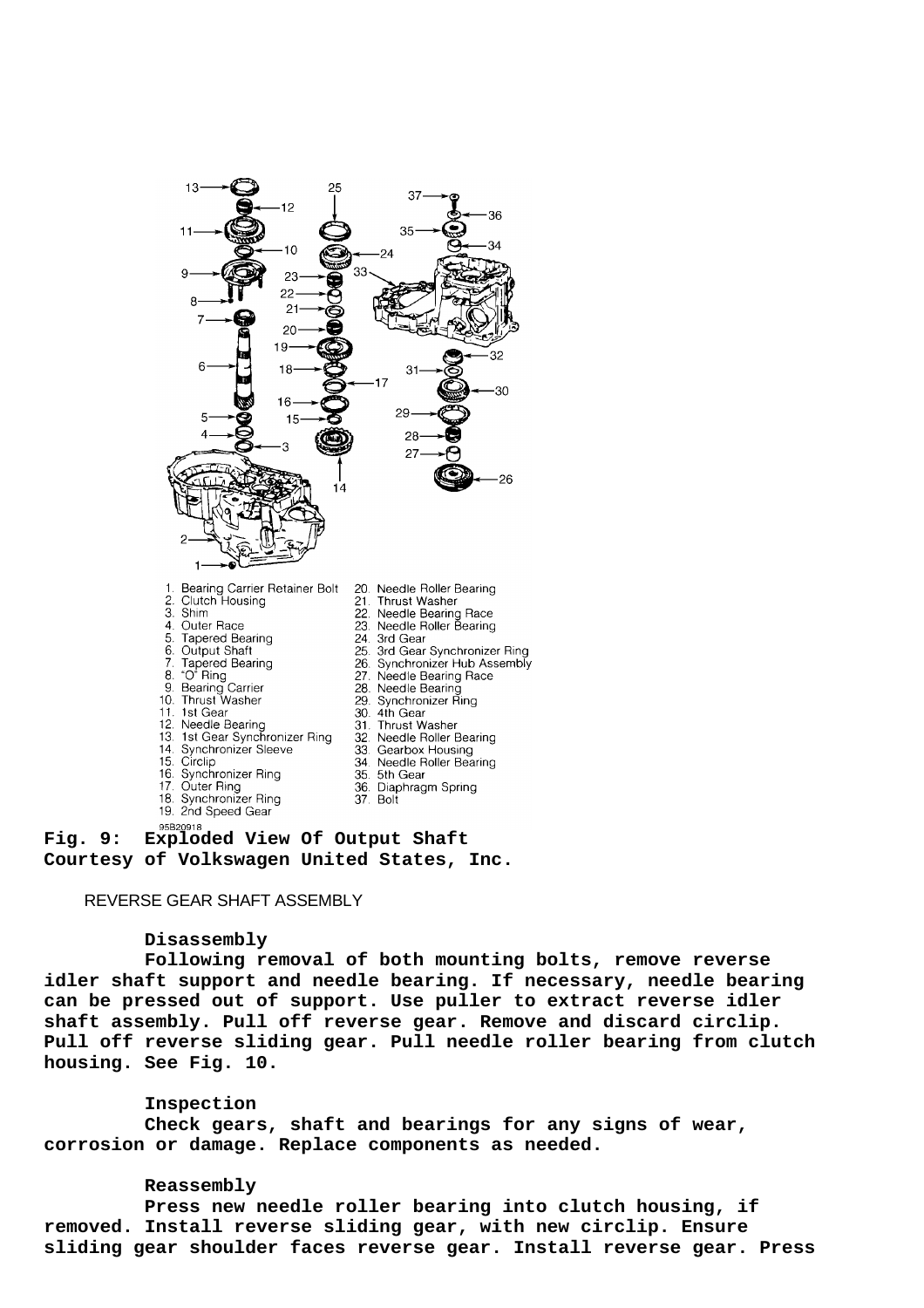

**Fig. 9: Exploded View Of Output Shaft Courtesy of Volkswagen United States, Inc.**

# REVERSE GEAR SHAFT ASSEMBLY

#### **Disassembly**

 **Following removal of both mounting bolts, remove reverse idler shaft support and needle bearing. If necessary, needle bearing can be pressed out of support. Use puller to extract reverse idler shaft assembly. Pull off reverse gear. Remove and discard circlip. Pull off reverse sliding gear. Pull needle roller bearing from clutch housing. See Fig. 10.**

## **Inspection**

 **Check gears, shaft and bearings for any signs of wear, corrosion or damage. Replace components as needed.**

# **Reassembly**

 **Press new needle roller bearing into clutch housing, if removed. Install reverse sliding gear, with new circlip. Ensure sliding gear shoulder faces reverse gear. Install reverse gear. Press**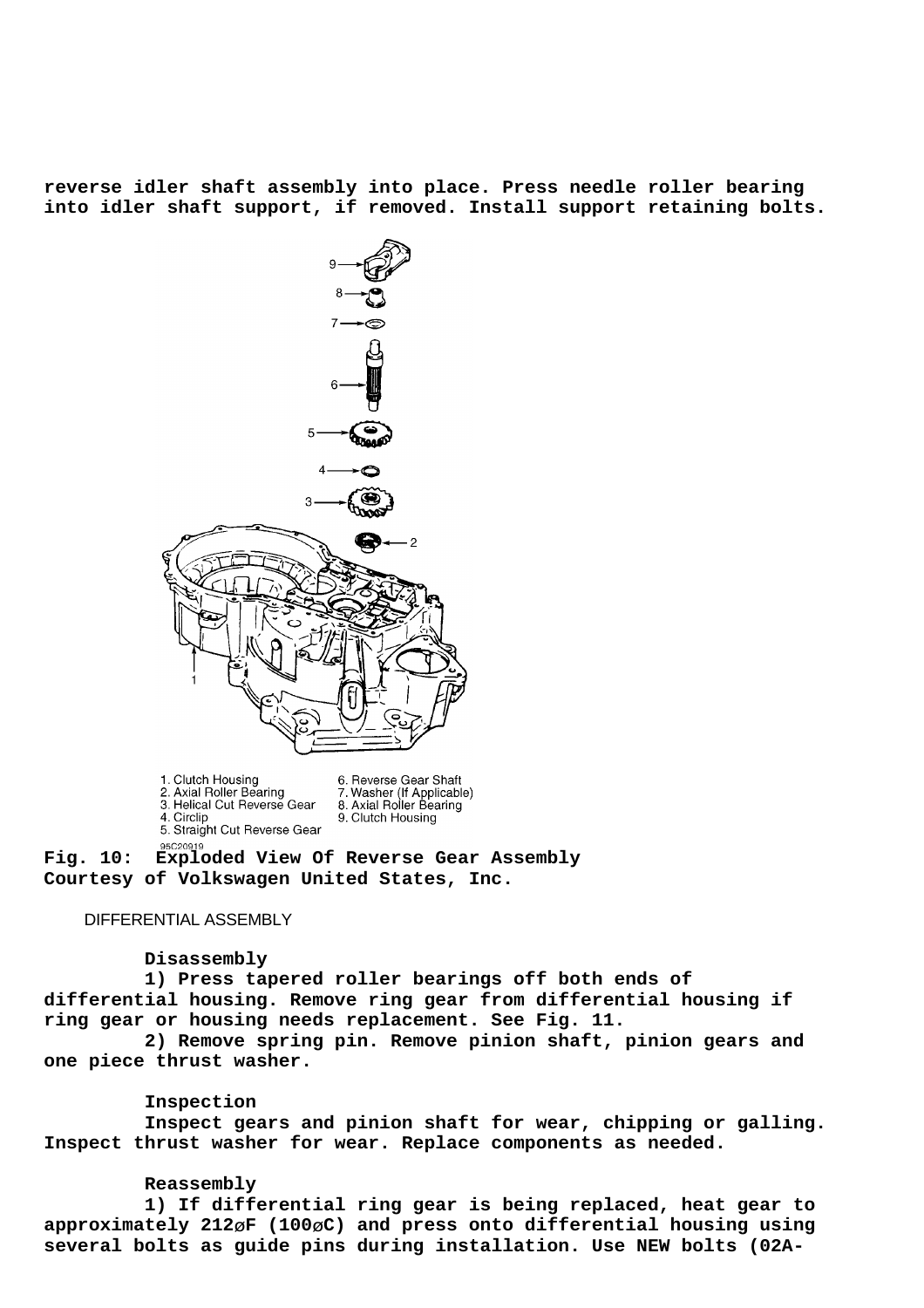**reverse idler shaft assembly into place. Press needle roller bearing into idler shaft support, if removed. Install support retaining bolts.**



1. Clutch Housing 6. Reverse Gear Shaft 2. Axial Roller Bearing 7. Washer (If Applicable)<br>8. Axial Roller Bearing 3. Helical Cut Reverse Gear 4. Circlip 9. Clutch Housing 5. Straight Cut Reverse Gear 95C20919

**Fig. 10: Exploded View Of Reverse Gear Assembly Courtesy of Volkswagen United States, Inc.**

# DIFFERENTIAL ASSEMBLY

### **Disassembly**

 **1) Press tapered roller bearings off both ends of differential housing. Remove ring gear from differential housing if ring gear or housing needs replacement. See Fig. 11.**

 **2) Remove spring pin. Remove pinion shaft, pinion gears and one piece thrust washer.**

#### **Inspection**

 **Inspect gears and pinion shaft for wear, chipping or galling. Inspect thrust washer for wear. Replace components as needed.**

#### **Reassembly**

 **1) If differential ring gear is being replaced, heat gear to approximately 212**ø**F (100**ø**C) and press onto differential housing using several bolts as guide pins during installation. Use NEW bolts (02A-**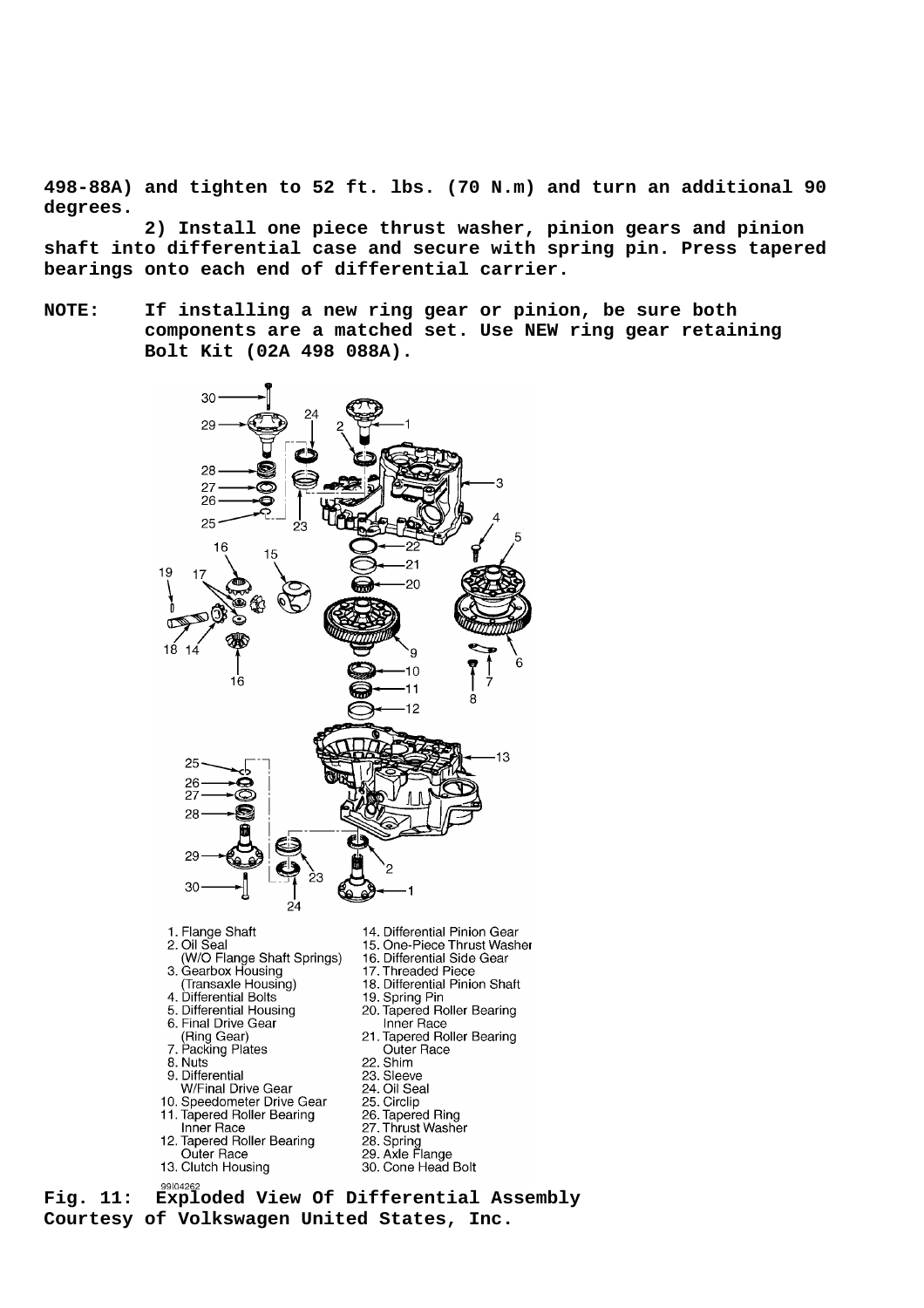**498-88A) and tighten to 52 ft. lbs. (70 N.m) and turn an additional 90 degrees.**

 **2) Install one piece thrust washer, pinion gears and pinion shaft into differential case and secure with spring pin. Press tapered bearings onto each end of differential carrier.**

**NOTE: If installing a new ring gear or pinion, be sure both components are a matched set. Use NEW ring gear retaining Bolt Kit (02A 498 088A).**



**Courtesy of Volkswagen United States, Inc.**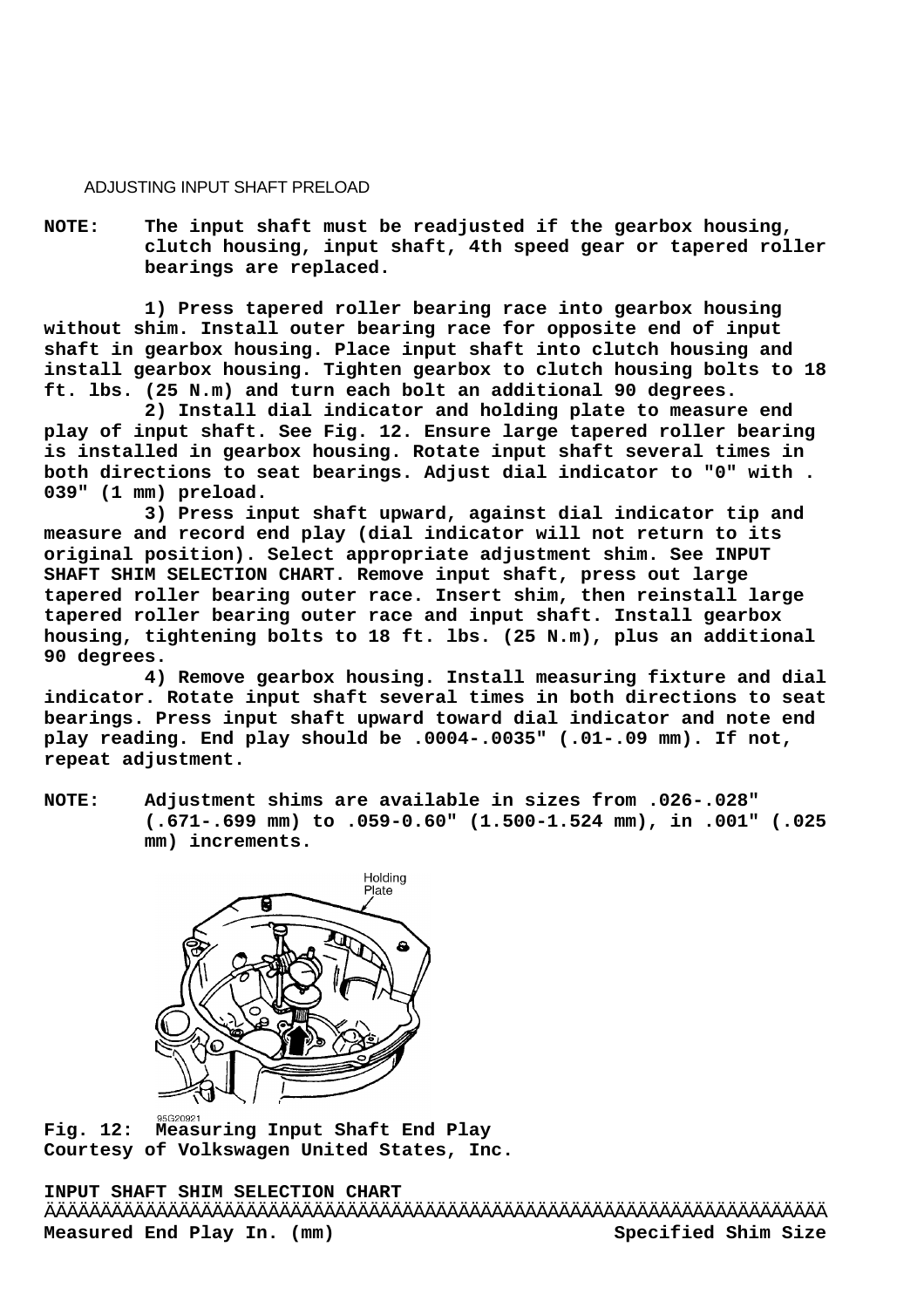## ADJUSTING INPUT SHAFT PRELOAD

**NOTE: The input shaft must be readjusted if the gearbox housing, clutch housing, input shaft, 4th speed gear or tapered roller bearings are replaced.**

 **1) Press tapered roller bearing race into gearbox housing without shim. Install outer bearing race for opposite end of input shaft in gearbox housing. Place input shaft into clutch housing and install gearbox housing. Tighten gearbox to clutch housing bolts to 18 ft. lbs. (25 N.m) and turn each bolt an additional 90 degrees.**

 **2) Install dial indicator and holding plate to measure end play of input shaft. See Fig. 12. Ensure large tapered roller bearing is installed in gearbox housing. Rotate input shaft several times in both directions to seat bearings. Adjust dial indicator to "0" with . 039" (1 mm) preload.**

 **3) Press input shaft upward, against dial indicator tip and measure and record end play (dial indicator will not return to its original position). Select appropriate adjustment shim. See INPUT SHAFT SHIM SELECTION CHART. Remove input shaft, press out large tapered roller bearing outer race. Insert shim, then reinstall large tapered roller bearing outer race and input shaft. Install gearbox housing, tightening bolts to 18 ft. lbs. (25 N.m), plus an additional 90 degrees.**

 **4) Remove gearbox housing. Install measuring fixture and dial indicator. Rotate input shaft several times in both directions to seat bearings. Press input shaft upward toward dial indicator and note end play reading. End play should be .0004-.0035" (.01-.09 mm). If not, repeat adjustment.**

**NOTE: Adjustment shims are available in sizes from .026-.028" (.671-.699 mm) to .059-0.60" (1.500-1.524 mm), in .001" (.025 mm) increments.**



**Fig. 12: Measuring Input Shaft End Play Courtesy of Volkswagen United States, Inc.**

**INPUT SHAFT SHIM SELECTION CHART** ÄÄÄÄÄÄÄÄÄÄÄÄÄÄÄÄÄÄÄÄÄÄÄÄÄÄÄÄÄÄÄÄÄÄÄÄÄÄÄÄÄÄÄÄÄÄÄÄÄÄÄÄÄÄÄÄÄÄÄÄÄÄÄÄÄÄÄÄÄÄ Measured End Play In. (mm) Specified Shim Size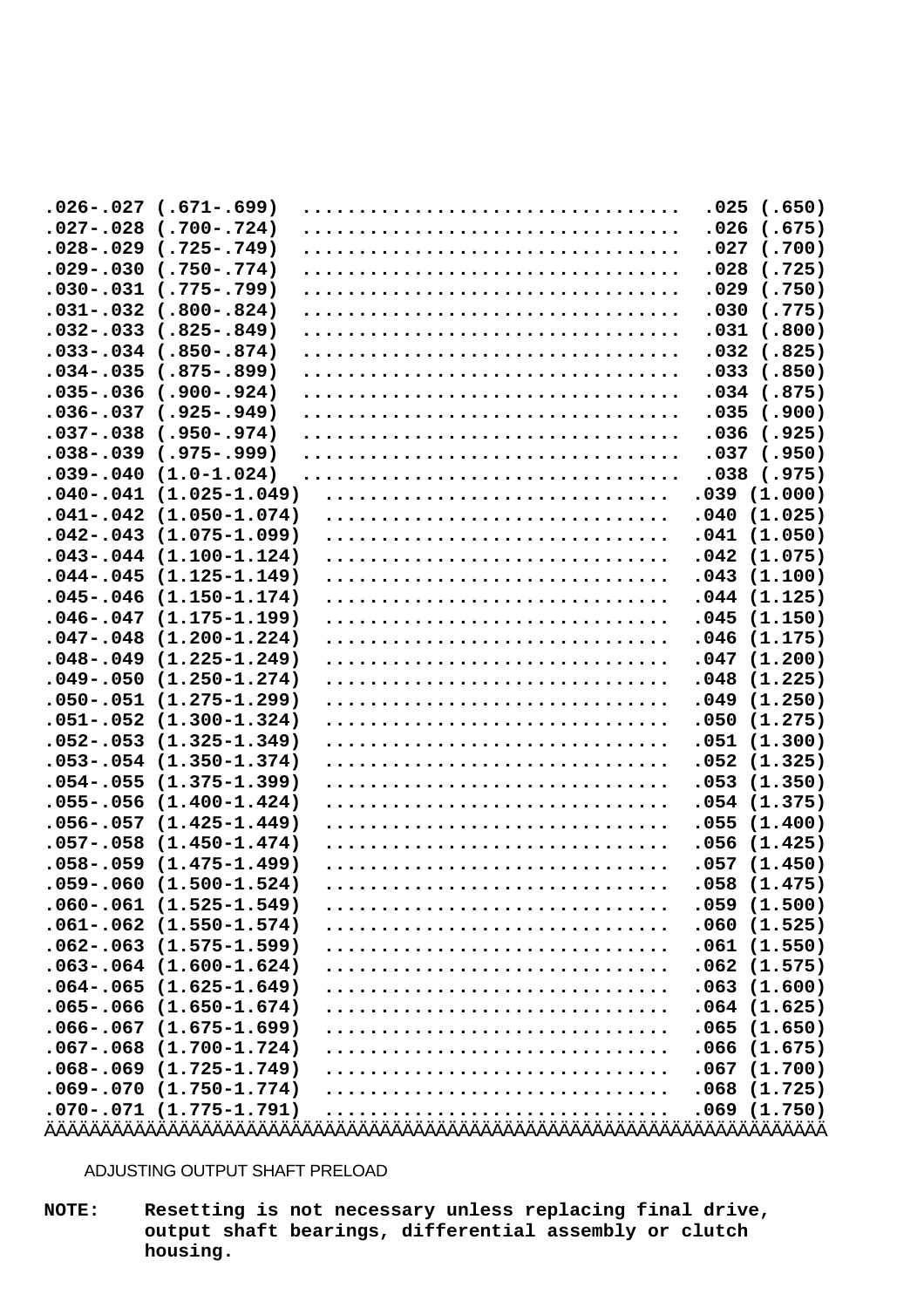| $(.671-.699)$<br>$.026-.027$       | .025<br>(.650)          |
|------------------------------------|-------------------------|
| $.027-.028$<br>$(.700-.724)$       | .026<br>(.675)          |
| $.028-.029$<br>$(.725-.749)$       | .027<br>(.700)          |
| $.029-.030$<br>$(.750-.774)$       | .028<br>(.725)          |
| $(.775-.799)$<br>$.030-.031$       | (.750)<br>.029          |
| $(.800-.824)$<br>$.031-.032$       | .030<br>(.775)          |
| $(.825-.849)$<br>$.032-.033$       | (.800)<br>.031          |
| $(.850-.874)$<br>$.033 - .034$     | .032<br>(.825)          |
| $(.875-.899)$<br>$.034-.035$       | .033<br>(.850)          |
| $(.900-.924)$<br>$.035-.036$       | .034<br>(.875)          |
| $.036 - .037$<br>$(.925-.949)$     | .035<br>(.900)          |
| $.037-.038$<br>$(.950-.974)$       | .036<br>(.925)          |
| $(.975-.999)$<br>$.038 - .039$     | .037<br>(.950)          |
| $.039-.040$<br>$(1.0 - 1.024)$     | .038<br>(.975)          |
| $.040-.041$<br>$(1.025 - 1.049)$   | .039(1.000)             |
| $(1.050 - 1.074)$<br>$.041 - .042$ | .040<br>(1.025)         |
| $(1.075 - 1.099)$<br>$.042-.043$   | .041<br>(1.050)         |
| $.043 - .044$<br>$(1.100 - 1.124)$ | .042<br>(1.075)         |
| $(1.125 - 1.149)$<br>$.044-.045$   | (1.100)                 |
| $(1.150 - 1.174)$<br>$.045 - .046$ | .043<br>(1.125)<br>.044 |
| $.046 - .047$<br>$(1.175 - 1.199)$ | (1.150)<br>.045         |
| $.047-.048$<br>$(1.200 - 1.224)$   | .046<br>(1.175)         |
| $(1.225 - 1.249)$<br>$.048-.049$   | (1.200)<br>.047         |
| $.049-.050$<br>$(1.250 - 1.274)$   | .048<br>(1.225)         |
| $.050-.051$<br>$(1.275 - 1.299)$   | (1.250)<br>.049         |
| $.051 - .052$<br>$(1.300 - 1.324)$ | (1.275)<br>.050         |
| $.052-.053$<br>$(1.325 - 1.349)$   | .051<br>(1.300)         |
| $.053 - .054$<br>$(1.350 - 1.374)$ | .052<br>(1.325)         |
| $.054-.055$<br>$(1.375 - 1.399)$   | (1.350)<br>.053         |
| $.055 - .056$<br>$(1.400 - 1.424)$ | (1.375)                 |
| $.056 - .057$<br>$(1.425 - 1.449)$ | .054<br>(1.400)         |
| $.057-.058$<br>$(1.450 - 1.474)$   | .055<br>(1.425)         |
| $(1.475 - 1.499)$<br>$.058 - .059$ | .056                    |
| $.059-.060$                        | (1.450)<br>.057<br>.058 |
| $(1.500 - 1.524)$                  | (1.475)                 |
| $(1.525 - 1.549)$<br>$.060-.061$   | (1.500)<br>.059         |
| $.061-.062$<br>$(1.550 - 1.574)$   | .060<br>(1.525)         |
| $.062 - .063$<br>$(1.575 - 1.599)$ | .061<br>(1.550)         |
| $.063-.064$ $(1.600-1.624)$        | .062<br>(1.575)         |
| $.064-.065$<br>$(1.625 - 1.649)$   | .063<br>(1.600)         |
| $.065 - .066$<br>$(1.650 - 1.674)$ | .064<br>(1.625)         |
| $.066 - .067$<br>$(1.675 - 1.699)$ | .065<br>(1.650)         |
| $.067 - .068$<br>$(1.700 - 1.724)$ | .066<br>(1.675)         |
| $.068-.069$<br>$(1.725 - 1.749)$   | (1.700)<br>.067         |
| $.069-.070$<br>$(1.750 - 1.774)$   | .068<br>(1.725)         |
| $.070-.071$ (1.775-1.791)          | .069(1.750)             |
|                                    |                         |

ADJUSTING OUTPUT SHAFT PRELOAD

**NOTE: Resetting is not necessary unless replacing final drive, output shaft bearings, differential assembly or clutch housing.**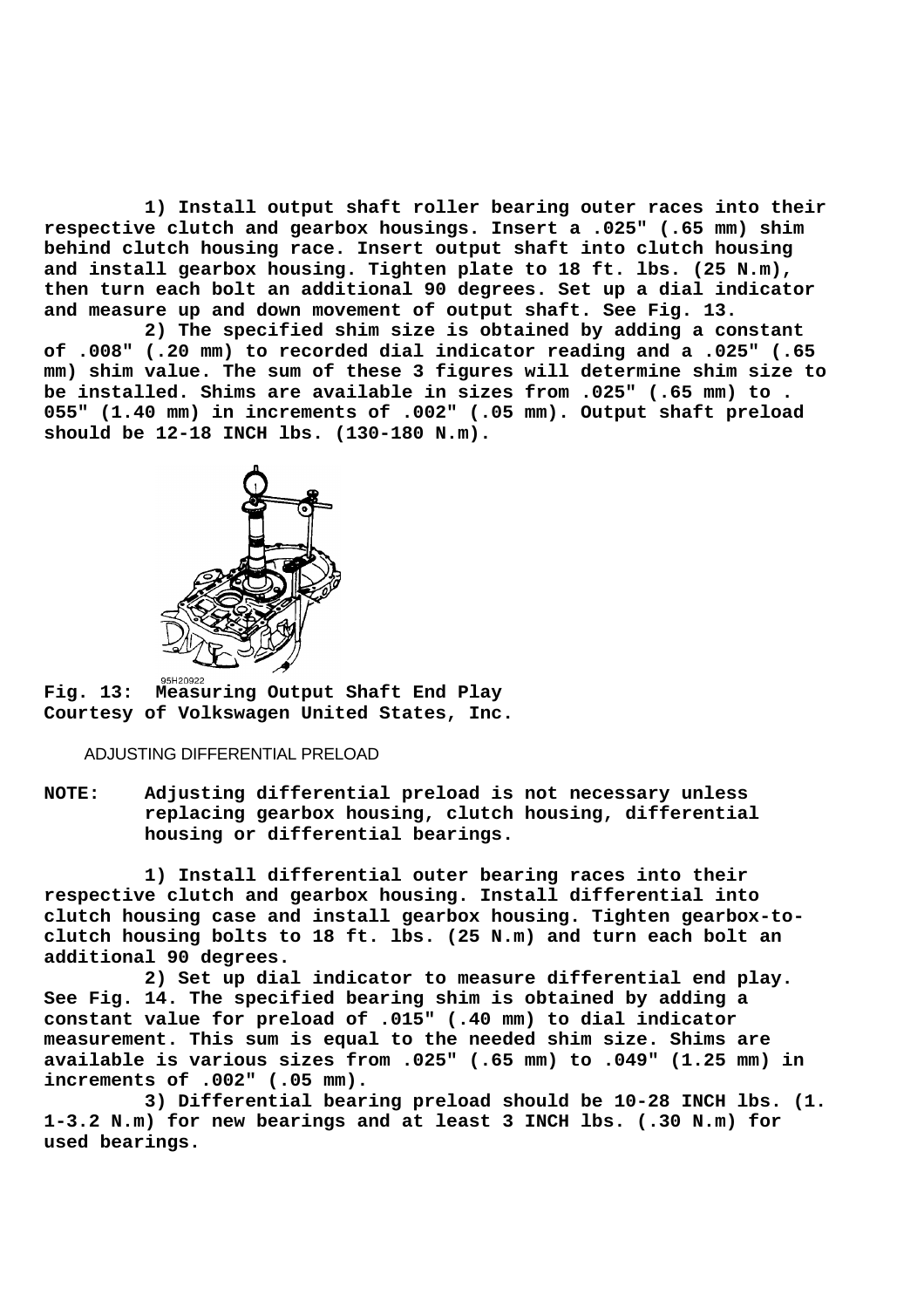**1) Install output shaft roller bearing outer races into their respective clutch and gearbox housings. Insert a .025" (.65 mm) shim behind clutch housing race. Insert output shaft into clutch housing and install gearbox housing. Tighten plate to 18 ft. lbs. (25 N.m), then turn each bolt an additional 90 degrees. Set up a dial indicator and measure up and down movement of output shaft. See Fig. 13.**

 **2) The specified shim size is obtained by adding a constant of .008" (.20 mm) to recorded dial indicator reading and a .025" (.65 mm) shim value. The sum of these 3 figures will determine shim size to be installed. Shims are available in sizes from .025" (.65 mm) to . 055" (1.40 mm) in increments of .002" (.05 mm). Output shaft preload should be 12-18 INCH lbs. (130-180 N.m).**



**Fig. 13: Measuring Output Shaft End Play Courtesy of Volkswagen United States, Inc.**

# ADJUSTING DIFFERENTIAL PRELOAD

**NOTE: Adjusting differential preload is not necessary unless replacing gearbox housing, clutch housing, differential housing or differential bearings.**

 **1) Install differential outer bearing races into their respective clutch and gearbox housing. Install differential into clutch housing case and install gearbox housing. Tighten gearbox-toclutch housing bolts to 18 ft. lbs. (25 N.m) and turn each bolt an additional 90 degrees.**

 **2) Set up dial indicator to measure differential end play. See Fig. 14. The specified bearing shim is obtained by adding a constant value for preload of .015" (.40 mm) to dial indicator measurement. This sum is equal to the needed shim size. Shims are available is various sizes from .025" (.65 mm) to .049" (1.25 mm) in increments of .002" (.05 mm).**

 **3) Differential bearing preload should be 10-28 INCH lbs. (1. 1-3.2 N.m) for new bearings and at least 3 INCH lbs. (.30 N.m) for used bearings.**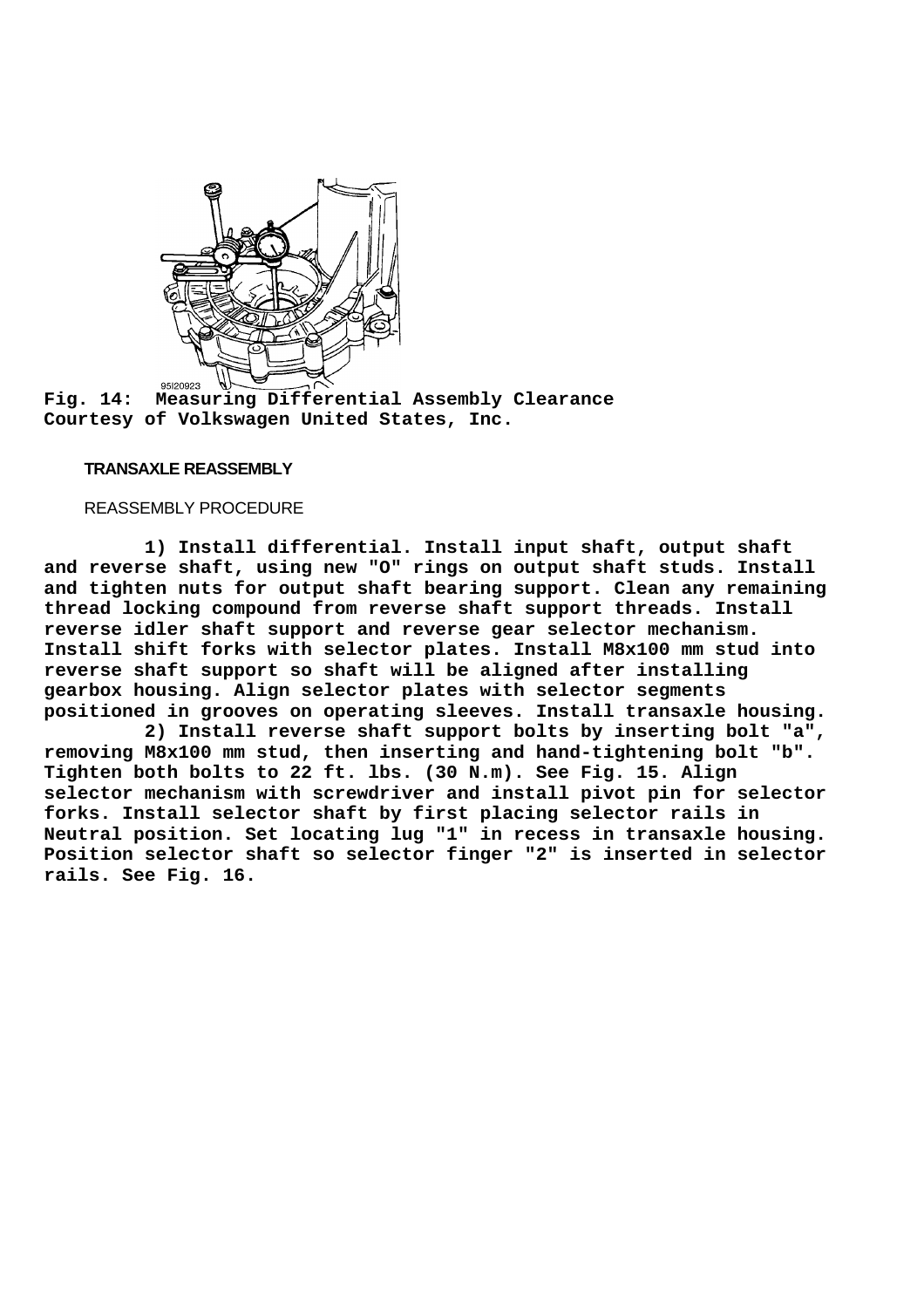

**Fig. 14: Measuring Differential Assembly Clearance Courtesy of Volkswagen United States, Inc.**

# **TRANSAXLE REASSEMBLY**

## REASSEMBLY PROCEDURE

 **1) Install differential. Install input shaft, output shaft and reverse shaft, using new "O" rings on output shaft studs. Install and tighten nuts for output shaft bearing support. Clean any remaining thread locking compound from reverse shaft support threads. Install reverse idler shaft support and reverse gear selector mechanism. Install shift forks with selector plates. Install M8x100 mm stud into reverse shaft support so shaft will be aligned after installing gearbox housing. Align selector plates with selector segments positioned in grooves on operating sleeves. Install transaxle housing.**

 **2) Install reverse shaft support bolts by inserting bolt "a", removing M8x100 mm stud, then inserting and hand-tightening bolt "b". Tighten both bolts to 22 ft. lbs. (30 N.m). See Fig. 15. Align selector mechanism with screwdriver and install pivot pin for selector forks. Install selector shaft by first placing selector rails in Neutral position. Set locating lug "1" in recess in transaxle housing. Position selector shaft so selector finger "2" is inserted in selector rails. See Fig. 16.**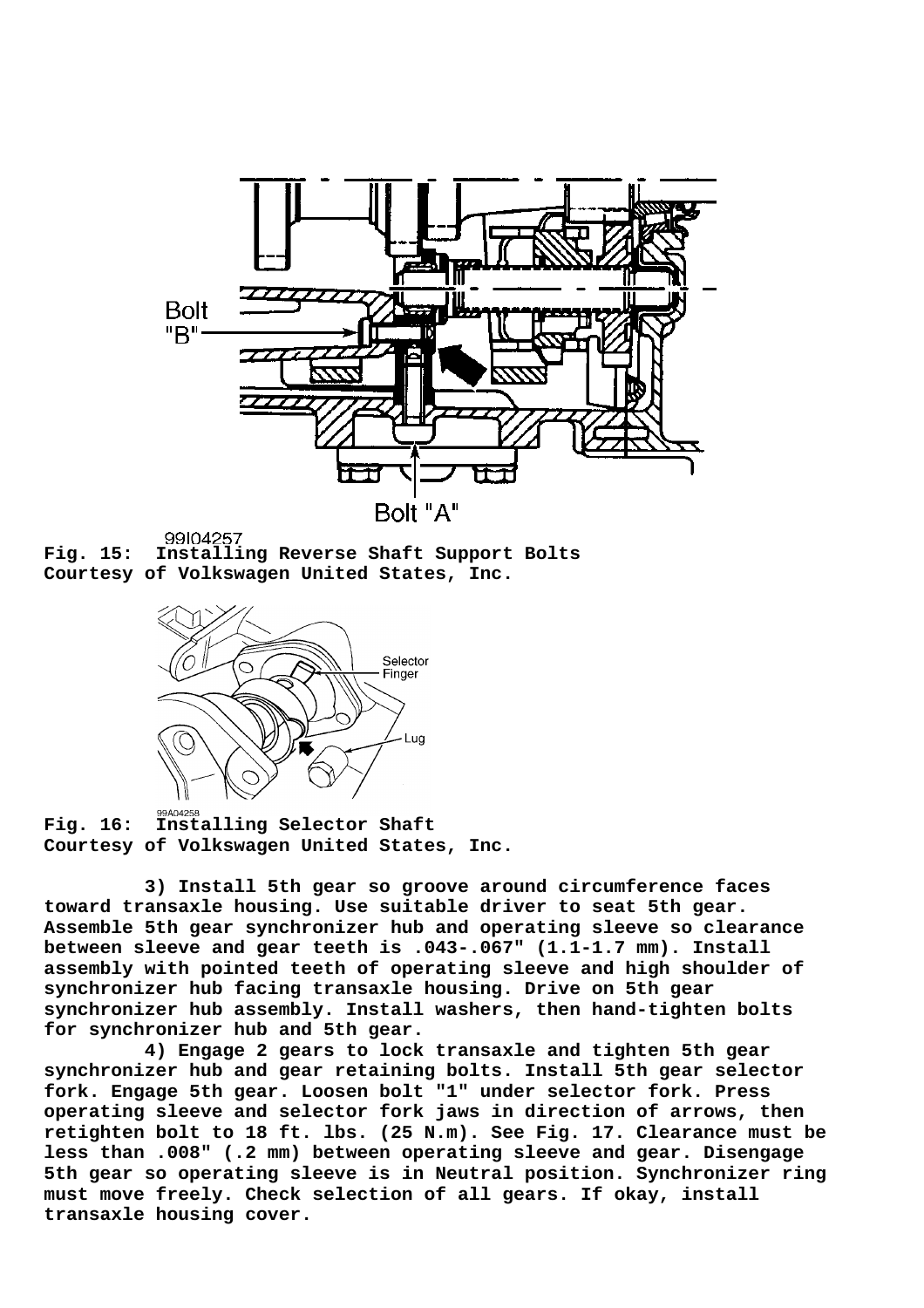

**Fig. 15: Installing Reverse Shaft Support Bolts Courtesy of Volkswagen United States, Inc.**



**Fig. 16: Installing Selector Shaft Courtesy of Volkswagen United States, Inc.**

 **3) Install 5th gear so groove around circumference faces toward transaxle housing. Use suitable driver to seat 5th gear. Assemble 5th gear synchronizer hub and operating sleeve so clearance between sleeve and gear teeth is .043-.067" (1.1-1.7 mm). Install assembly with pointed teeth of operating sleeve and high shoulder of synchronizer hub facing transaxle housing. Drive on 5th gear synchronizer hub assembly. Install washers, then hand-tighten bolts for synchronizer hub and 5th gear.**

 **4) Engage 2 gears to lock transaxle and tighten 5th gear synchronizer hub and gear retaining bolts. Install 5th gear selector fork. Engage 5th gear. Loosen bolt "1" under selector fork. Press operating sleeve and selector fork jaws in direction of arrows, then retighten bolt to 18 ft. lbs. (25 N.m). See Fig. 17. Clearance must be less than .008" (.2 mm) between operating sleeve and gear. Disengage 5th gear so operating sleeve is in Neutral position. Synchronizer ring must move freely. Check selection of all gears. If okay, install transaxle housing cover.**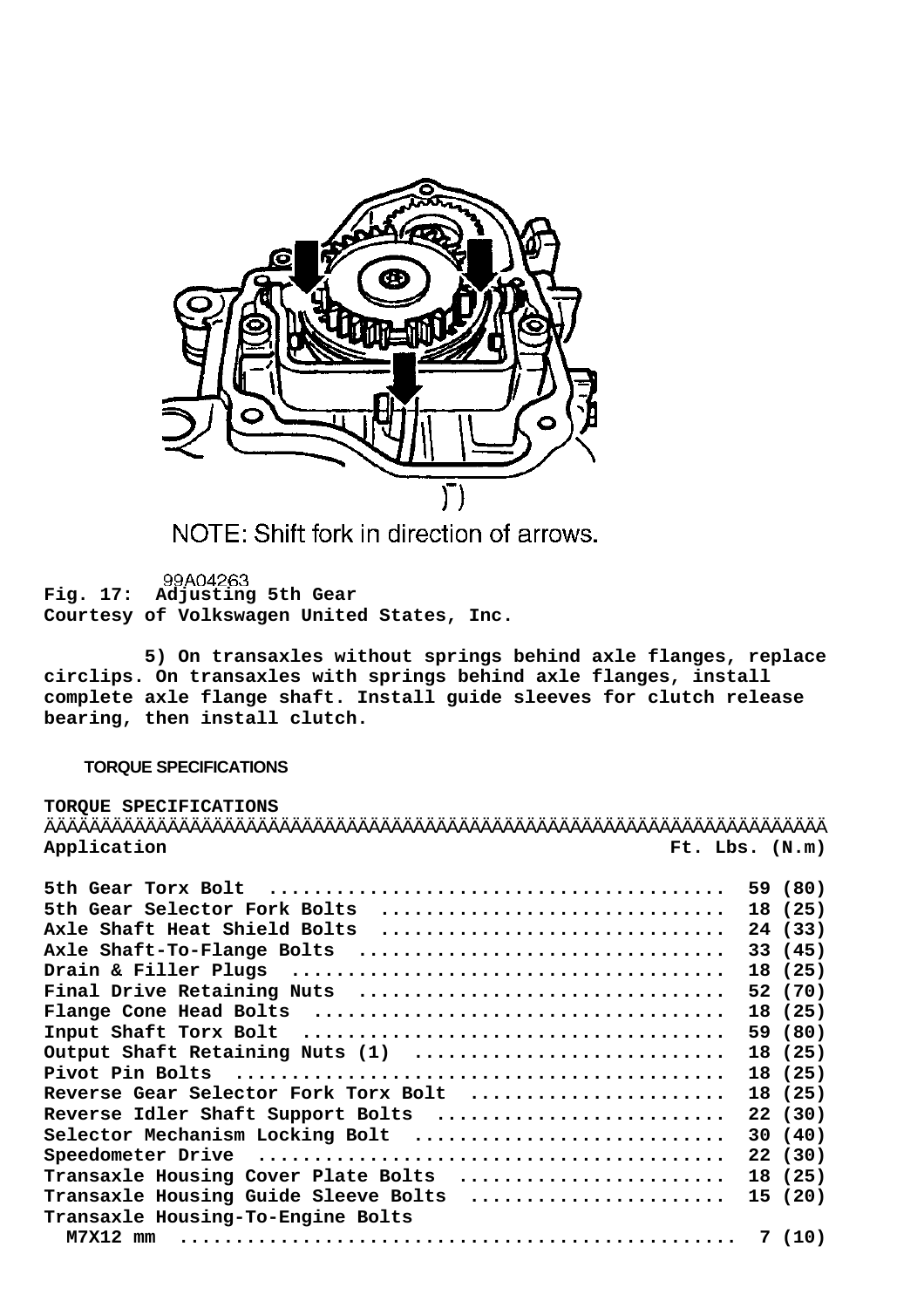

NOTE: Shift fork in direction of arrows.

99A04263 **Fig. 17: Adjusting 5th Gear Courtesy of Volkswagen United States, Inc.**

 **5) On transaxles without springs behind axle flanges, replace circlips. On transaxles with springs behind axle flanges, install complete axle flange shaft. Install guide sleeves for clutch release bearing, then install clutch.**

# **TORQUE SPECIFICATIONS**

| TORQUE SPECIFICATIONS                                                                                          |         |
|----------------------------------------------------------------------------------------------------------------|---------|
|                                                                                                                |         |
| Application<br>Ft. Lbs. (N.m)                                                                                  |         |
|                                                                                                                |         |
|                                                                                                                |         |
| 5th Gear Selector Fork Bolts                                                                                   | 18 (25) |
| Axle Shaft Heat Shield Bolts                                                                                   | 24 (33) |
| Axle Shaft-To-Flange Bolts                                                                                     | 33 (45) |
|                                                                                                                | 18 (25) |
| Final Drive Retaining Nuts $\dots\dots\dots\dots\dots\dots\dots\dots\dots\dots\dots$                           | 52 (70) |
| $\texttt{Flange}$ Cone Head Bolts $\ldots\ldots\ldots\ldots\ldots\ldots\ldots\ldots\ldots\ldots\ldots\ldots$   | 18 (25) |
|                                                                                                                | 59 (80) |
| Output Shaft Retaining Nuts (1)                                                                                | 18 (25) |
|                                                                                                                | 18 (25) |
| Reverse Gear Selector Fork Torx Bolt                                                                           | 18 (25) |
| Reverse Idler Shaft Support Bolts                                                                              | 22(30)  |
| Selector Mechanism Locking Bolt                                                                                | 30(40)  |
| Speedometer Drive (assessionally continuous speedometer Drive (assessionally continuous substance of the state | 22 (30) |
| Transaxle Housing Cover Plate Bolts                                                                            | 18 (25) |
|                                                                                                                |         |
| Transaxle Housing Guide Sleeve Bolts                                                                           | 15 (20) |
| Transaxle Housing-To-Engine Bolts                                                                              |         |
| $M7X12$ mm                                                                                                     | 7(10)   |